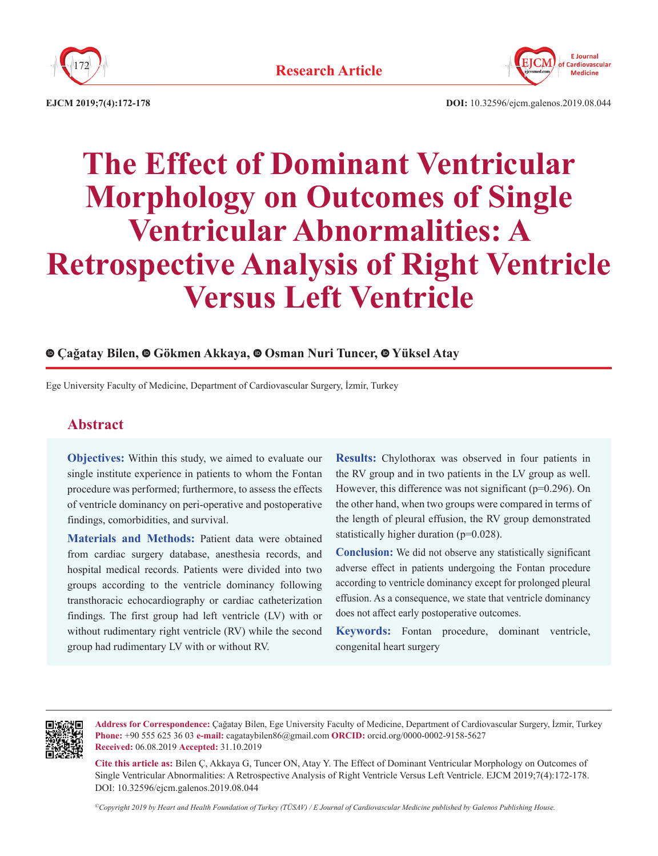



**EJCM 2019;7(4):172-178**

**DOI:** 10.32596/ejcm.galenos.2019.08.044

# **The Effect of Dominant Ventricular Morphology on Outcomes of Single Ventricular Abnormalities: A Retrospective Analysis of Right Ventricle Versus Left Ventricle**

# **Çağatay Bilen,Gökmen Akkaya, Osman Nuri Tuncer, Yüksel Atay**

Ege University Faculty of Medicine, Department of Cardiovascular Surgery, İzmir, Turkey

# **Abstract**

**Objectives:** Within this study, we aimed to evaluate our single institute experience in patients to whom the Fontan procedure was performed; furthermore, to assess the effects of ventricle dominancy on peri-operative and postoperative findings, comorbidities, and survival.

**Materials and Methods:** Patient data were obtained from cardiac surgery database, anesthesia records, and hospital medical records. Patients were divided into two groups according to the ventricle dominancy following transthoracic echocardiography or cardiac catheterization findings. The first group had left ventricle (LV) with or without rudimentary right ventricle (RV) while the second group had rudimentary LV with or without RV.

**Results:** Chylothorax was observed in four patients in the RV group and in two patients in the LV group as well. However, this difference was not significant (p=0.296). On the other hand, when two groups were compared in terms of the length of pleural effusion, the RV group demonstrated statistically higher duration (p=0.028).

**Conclusion:** We did not observe any statistically significant adverse effect in patients undergoing the Fontan procedure according to ventricle dominancy except for prolonged pleural effusion. As a consequence, we state that ventricle dominancy does not affect early postoperative outcomes.

**Keywords:** Fontan procedure, dominant ventricle, congenital heart surgery



**Address for Correspondence:** Çağatay Bilen, Ege University Faculty of Medicine, Department of Cardiovascular Surgery, İzmir, Turkey **Phone:** +90 555 625 36 03 **e-mail:** cagataybilen86@gmail.com **ORCID:** orcid.org/0000-0002-9158-5627 **Received:** 06.08.2019 **Accepted:** 31.10.2019

**Cite this article as:** Bilen Ç, Akkaya G, Tuncer ON, Atay Y. The Effect of Dominant Ventricular Morphology on Outcomes of Single Ventricular Abnormalities: A Retrospective Analysis of Right Ventricle Versus Left Ventricle. EJCM 2019;7(4):172-178. DOI: 10.32596/ejcm.galenos.2019.08.044

*©Copyright 2019 by Heart and Health Foundation of Turkey (TÜSAV) / E Journal of Cardiovascular Medicine published by Galenos Publishing House.*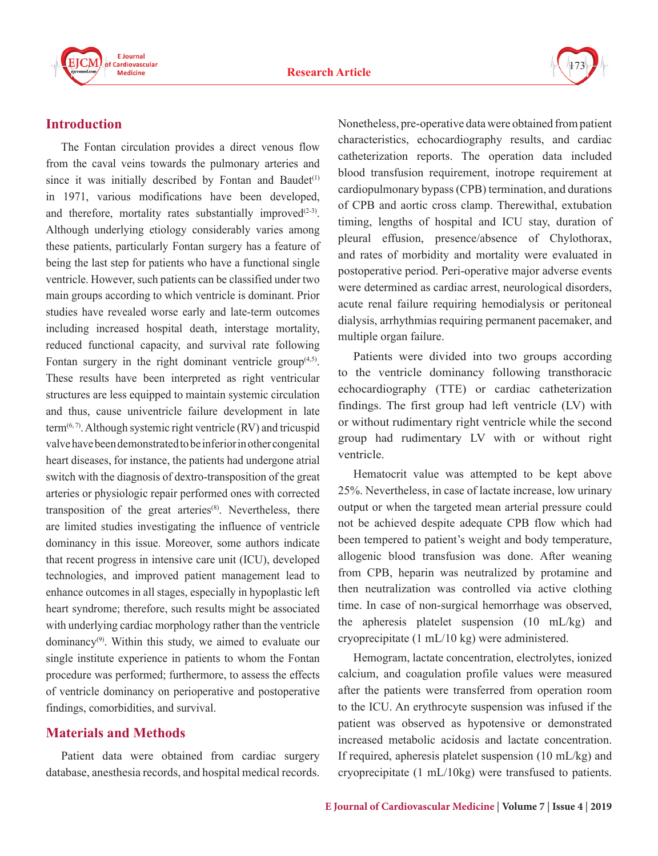



# **Introduction**

The Fontan circulation provides a direct venous flow from the caval veins towards the pulmonary arteries and since it was initially described by Fontan and Baudet $(1)$ in 1971, various modifications have been developed, and therefore, mortality rates substantially improved $(2-3)$ . Although underlying etiology considerably varies among these patients, particularly Fontan surgery has a feature of being the last step for patients who have a functional single ventricle. However, such patients can be classified under two main groups according to which ventricle is dominant. Prior studies have revealed worse early and late-term outcomes including increased hospital death, interstage mortality, reduced functional capacity, and survival rate following Fontan surgery in the right dominant ventricle group $(4,5)$ . These results have been interpreted as right ventricular structures are less equipped to maintain systemic circulation and thus, cause univentricle failure development in late term<sup> $(6, 7)$ </sup>. Although systemic right ventricle (RV) and tricuspid valve have been demonstrated to be inferior in other congenital heart diseases, for instance, the patients had undergone atrial switch with the diagnosis of dextro-transposition of the great arteries or physiologic repair performed ones with corrected transposition of the great arteries<sup> $(8)$ </sup>. Nevertheless, there are limited studies investigating the influence of ventricle dominancy in this issue. Moreover, some authors indicate that recent progress in intensive care unit (ICU), developed technologies, and improved patient management lead to enhance outcomes in all stages, especially in hypoplastic left heart syndrome; therefore, such results might be associated with underlying cardiac morphology rather than the ventricle dominancy(9). Within this study, we aimed to evaluate our single institute experience in patients to whom the Fontan procedure was performed; furthermore, to assess the effects of ventricle dominancy on perioperative and postoperative findings, comorbidities, and survival.

# **Materials and Methods**

Patient data were obtained from cardiac surgery database, anesthesia records, and hospital medical records. Nonetheless, pre-operative data were obtained from patient characteristics, echocardiography results, and cardiac catheterization reports. The operation data included blood transfusion requirement, inotrope requirement at cardiopulmonary bypass (CPB) termination, and durations of CPB and aortic cross clamp. Therewithal, extubation timing, lengths of hospital and ICU stay, duration of pleural effusion, presence/absence of Chylothorax, and rates of morbidity and mortality were evaluated in postoperative period. Peri-operative major adverse events were determined as cardiac arrest, neurological disorders, acute renal failure requiring hemodialysis or peritoneal dialysis, arrhythmias requiring permanent pacemaker, and multiple organ failure.

Patients were divided into two groups according to the ventricle dominancy following transthoracic echocardiography (TTE) or cardiac catheterization findings. The first group had left ventricle (LV) with or without rudimentary right ventricle while the second group had rudimentary LV with or without right ventricle.

Hematocrit value was attempted to be kept above 25%. Nevertheless, in case of lactate increase, low urinary output or when the targeted mean arterial pressure could not be achieved despite adequate CPB flow which had been tempered to patient's weight and body temperature, allogenic blood transfusion was done. After weaning from CPB, heparin was neutralized by protamine and then neutralization was controlled via active clothing time. In case of non-surgical hemorrhage was observed, the apheresis platelet suspension (10 mL/kg) and cryoprecipitate (1 mL/10 kg) were administered.

Hemogram, lactate concentration, electrolytes, ionized calcium, and coagulation profile values were measured after the patients were transferred from operation room to the ICU. An erythrocyte suspension was infused if the patient was observed as hypotensive or demonstrated increased metabolic acidosis and lactate concentration. If required, apheresis platelet suspension (10 mL/kg) and cryoprecipitate (1 mL/10kg) were transfused to patients.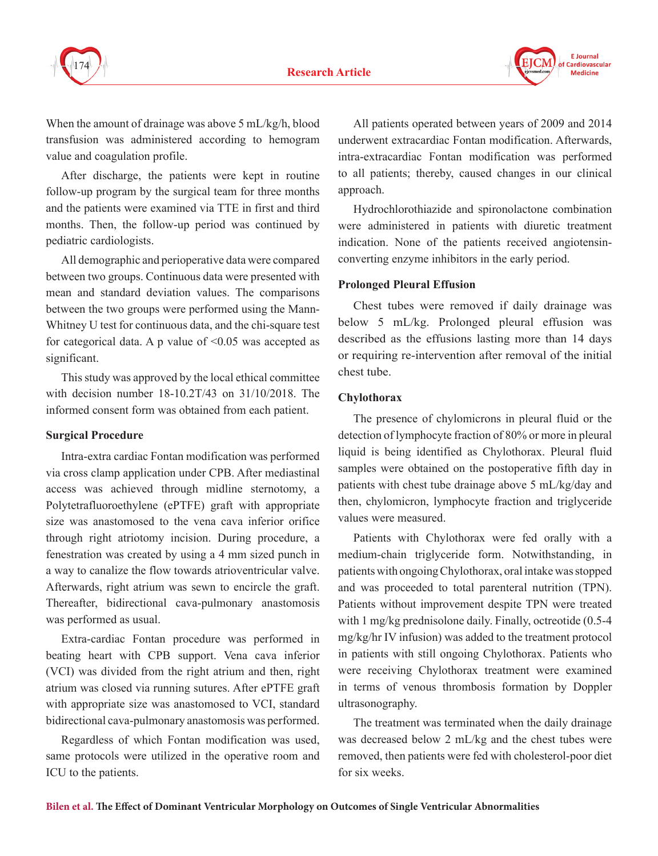

**F** Journal Cardiovascular aranosaso<br>Madicina

When the amount of drainage was above 5 mL/kg/h, blood transfusion was administered according to hemogram value and coagulation profile.

After discharge, the patients were kept in routine follow-up program by the surgical team for three months and the patients were examined via TTE in first and third months. Then, the follow-up period was continued by pediatric cardiologists.

All demographic and perioperative data were compared between two groups. Continuous data were presented with mean and standard deviation values. The comparisons between the two groups were performed using the Mann-Whitney U test for continuous data, and the chi-square test for categorical data. A p value of ˂0.05 was accepted as significant.

This study was approved by the local ethical committee with decision number 18-10.2T/43 on 31/10/2018. The informed consent form was obtained from each patient.

#### **Surgical Procedure**

Intra-extra cardiac Fontan modification was performed via cross clamp application under CPB. After mediastinal access was achieved through midline sternotomy, a Polytetrafluoroethylene (ePTFE) graft with appropriate size was anastomosed to the vena cava inferior orifice through right atriotomy incision. During procedure, a fenestration was created by using a 4 mm sized punch in a way to canalize the flow towards atrioventricular valve. Afterwards, right atrium was sewn to encircle the graft. Thereafter, bidirectional cava-pulmonary anastomosis was performed as usual.

Extra-cardiac Fontan procedure was performed in beating heart with CPB support. Vena cava inferior (VCI) was divided from the right atrium and then, right atrium was closed via running sutures. After ePTFE graft with appropriate size was anastomosed to VCI, standard bidirectional cava-pulmonary anastomosis was performed.

Regardless of which Fontan modification was used, same protocols were utilized in the operative room and ICU to the patients.

All patients operated between years of 2009 and 2014 underwent extracardiac Fontan modification. Afterwards, intra-extracardiac Fontan modification was performed to all patients; thereby, caused changes in our clinical approach.

Hydrochlorothiazide and spironolactone combination were administered in patients with diuretic treatment indication. None of the patients received angiotensinconverting enzyme inhibitors in the early period.

## **Prolonged Pleural Effusion**

Chest tubes were removed if daily drainage was below 5 mL/kg. Prolonged pleural effusion was described as the effusions lasting more than 14 days or requiring re-intervention after removal of the initial chest tube.

## **Chylothorax**

The presence of chylomicrons in pleural fluid or the detection of lymphocyte fraction of 80% or more in pleural liquid is being identified as Chylothorax. Pleural fluid samples were obtained on the postoperative fifth day in patients with chest tube drainage above 5 mL/kg/day and then, chylomicron, lymphocyte fraction and triglyceride values were measured.

Patients with Chylothorax were fed orally with a medium-chain triglyceride form. Notwithstanding, in patients with ongoing Chylothorax, oral intake was stopped and was proceeded to total parenteral nutrition (TPN). Patients without improvement despite TPN were treated with 1 mg/kg prednisolone daily. Finally, octreotide (0.5-4 mg/kg/hr IV infusion) was added to the treatment protocol in patients with still ongoing Chylothorax. Patients who were receiving Chylothorax treatment were examined in terms of venous thrombosis formation by Doppler ultrasonography.

The treatment was terminated when the daily drainage was decreased below 2 mL/kg and the chest tubes were removed, then patients were fed with cholesterol-poor diet for six weeks.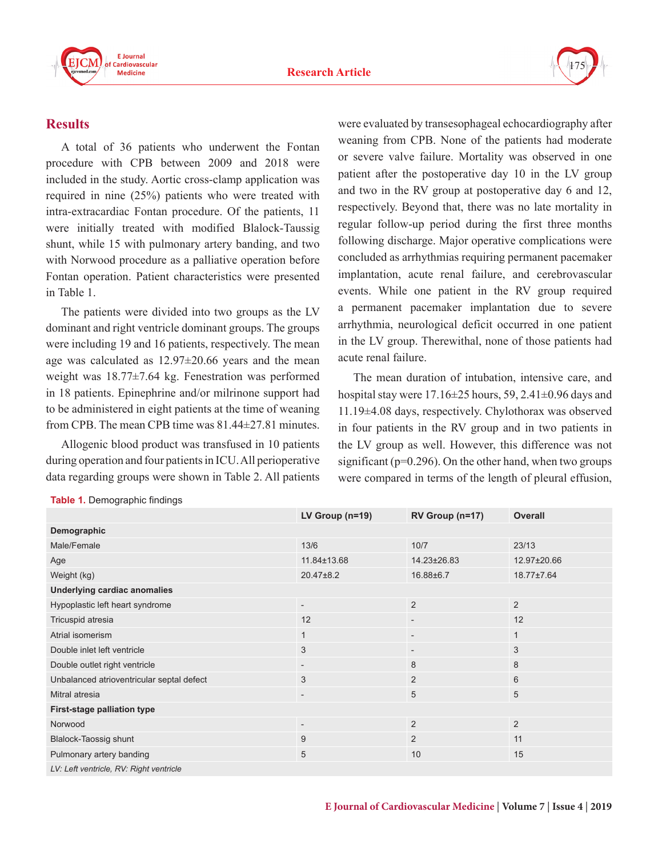



## **Results**

A total of 36 patients who underwent the Fontan procedure with CPB between 2009 and 2018 were included in the study. Aortic cross-clamp application was required in nine (25%) patients who were treated with intra-extracardiac Fontan procedure. Of the patients, 11 were initially treated with modified Blalock-Taussig shunt, while 15 with pulmonary artery banding, and two with Norwood procedure as a palliative operation before Fontan operation. Patient characteristics were presented in Table 1.

The patients were divided into two groups as the LV dominant and right ventricle dominant groups. The groups were including 19 and 16 patients, respectively. The mean age was calculated as 12.97±20.66 years and the mean weight was 18.77±7.64 kg. Fenestration was performed in 18 patients. Epinephrine and/or milrinone support had to be administered in eight patients at the time of weaning from CPB. The mean CPB time was 81.44±27.81 minutes.

Allogenic blood product was transfused in 10 patients during operation and four patients in ICU. All perioperative data regarding groups were shown in Table 2. All patients were evaluated by transesophageal echocardiography after weaning from CPB. None of the patients had moderate or severe valve failure. Mortality was observed in one patient after the postoperative day 10 in the LV group and two in the RV group at postoperative day 6 and 12, respectively. Beyond that, there was no late mortality in regular follow-up period during the first three months following discharge. Major operative complications were concluded as arrhythmias requiring permanent pacemaker implantation, acute renal failure, and cerebrovascular events. While one patient in the RV group required a permanent pacemaker implantation due to severe arrhythmia, neurological deficit occurred in one patient in the LV group. Therewithal, none of those patients had acute renal failure.

The mean duration of intubation, intensive care, and hospital stay were 17.16±25 hours, 59, 2.41±0.96 days and 11.19±4.08 days, respectively. Chylothorax was observed in four patients in the RV group and in two patients in the LV group as well. However, this difference was not significant ( $p=0.296$ ). On the other hand, when two groups were compared in terms of the length of pleural effusion,

|                                           | LV Group $(n=19)$        | RV Group (n=17)          | <b>Overall</b>   |  |  |
|-------------------------------------------|--------------------------|--------------------------|------------------|--|--|
| Demographic                               |                          |                          |                  |  |  |
| Male/Female                               | 13/6                     | 10/7                     | 23/13            |  |  |
| Age                                       | 11.84±13.68              | 14.23±26.83              | 12.97±20.66      |  |  |
| Weight (kg)                               | $20.47\pm8.2$            | 16.88±6.7                | $18.77 \pm 7.64$ |  |  |
| Underlying cardiac anomalies              |                          |                          |                  |  |  |
| Hypoplastic left heart syndrome           | $\overline{\phantom{0}}$ | 2                        | 2                |  |  |
| Tricuspid atresia                         | 12                       | $\overline{\phantom{0}}$ | 12               |  |  |
| Atrial isomerism                          | $\mathbf{1}$             | $\overline{\phantom{a}}$ | $\mathbf{1}$     |  |  |
| Double inlet left ventricle               | 3                        | $\overline{\phantom{a}}$ | 3                |  |  |
| Double outlet right ventricle             | $\overline{\phantom{a}}$ | 8                        | 8                |  |  |
| Unbalanced atrioventricular septal defect | 3                        | 2                        | 6                |  |  |
| Mitral atresia                            | $\overline{\phantom{0}}$ | 5                        | 5                |  |  |
| First-stage palliation type               |                          |                          |                  |  |  |
| Norwood                                   | $\overline{\phantom{a}}$ | $\overline{2}$           | 2                |  |  |
| Blalock-Taossig shunt                     | 9                        | $\overline{2}$           | 11               |  |  |
| Pulmonary artery banding                  | 5                        | 10                       | 15               |  |  |
| LV: Left ventricle, RV: Right ventricle   |                          |                          |                  |  |  |

## **Table 1.** Demographic findings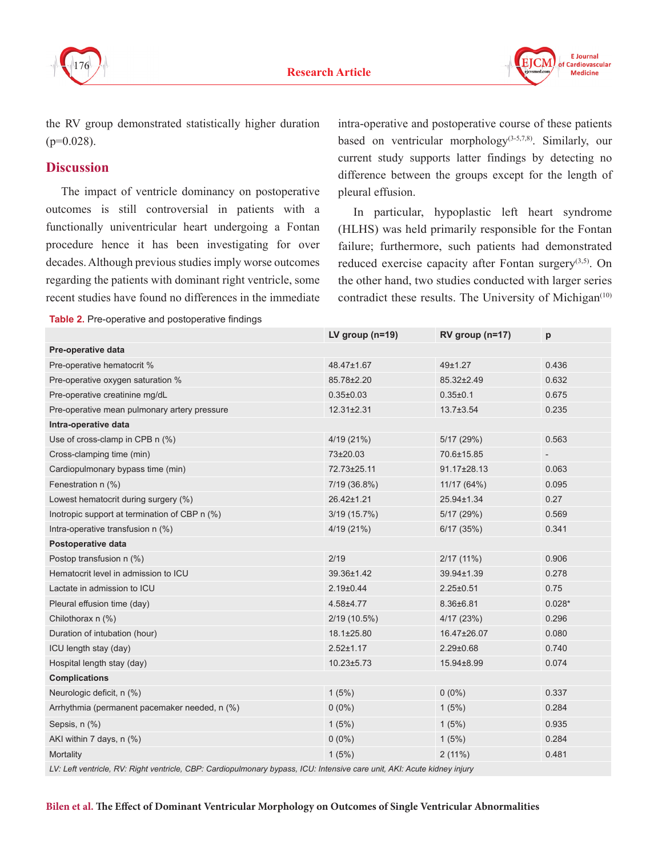



the RV group demonstrated statistically higher duration  $(p=0.028)$ .

# **Discussion**

The impact of ventricle dominancy on postoperative outcomes is still controversial in patients with a functionally univentricular heart undergoing a Fontan procedure hence it has been investigating for over decades. Although previous studies imply worse outcomes regarding the patients with dominant right ventricle, some recent studies have found no differences in the immediate

intra-operative and postoperative course of these patients based on ventricular morphology<sup>(3-5,7,8)</sup>. Similarly, our current study supports latter findings by detecting no difference between the groups except for the length of pleural effusion.

In particular, hypoplastic left heart syndrome (HLHS) was held primarily responsible for the Fontan failure; furthermore, such patients had demonstrated reduced exercise capacity after Fontan surgery $(3,5)$ . On the other hand, two studies conducted with larger series contradict these results. The University of Michigan $(10)$ 

**Table 2.** Pre-operative and postoperative findings

|                                               | LV group $(n=19)$ | RV group (n=17) | p        |  |  |
|-----------------------------------------------|-------------------|-----------------|----------|--|--|
| Pre-operative data                            |                   |                 |          |  |  |
| Pre-operative hematocrit %                    | 48.47±1.67        | 49±1.27         | 0.436    |  |  |
| Pre-operative oxygen saturation %             | 85.78±2.20        | 85.32±2.49      | 0.632    |  |  |
| Pre-operative creatinine mg/dL                | $0.35 \pm 0.03$   | $0.35 + 0.1$    | 0.675    |  |  |
| Pre-operative mean pulmonary artery pressure  | $12.31 \pm 2.31$  | $13.7 \pm 3.54$ | 0.235    |  |  |
| Intra-operative data                          |                   |                 |          |  |  |
| Use of cross-clamp in CPB n (%)               | 4/19(21%)         | 5/17(29%)       | 0.563    |  |  |
| Cross-clamping time (min)                     | 73±20.03          | 70.6±15.85      |          |  |  |
| Cardiopulmonary bypass time (min)             | 72.73±25.11       | 91.17±28.13     | 0.063    |  |  |
| Fenestration n (%)                            | 7/19 (36.8%)      | 11/17 (64%)     | 0.095    |  |  |
| Lowest hematocrit during surgery (%)          | 26.42±1.21        | 25.94±1.34      | 0.27     |  |  |
| Inotropic support at termination of CBP n (%) | 3/19 (15.7%)      | 5/17(29%)       | 0.569    |  |  |
| Intra-operative transfusion n (%)             | 4/19(21%)         | 6/17(35%)       | 0.341    |  |  |
| Postoperative data                            |                   |                 |          |  |  |
| Postop transfusion n (%)                      | 2/19              | $2/17(11\%)$    | 0.906    |  |  |
| Hematocrit level in admission to ICU          | 39.36±1.42        | 39.94±1.39      | 0.278    |  |  |
| Lactate in admission to ICU                   | $2.19 \pm 0.44$   | $2.25 \pm 0.51$ | 0.75     |  |  |
| Pleural effusion time (day)                   | 4.58±4.77         | 8.36±6.81       | $0.028*$ |  |  |
| Chilothorax n (%)                             | $2/19(10.5\%)$    | 4/17(23%)       | 0.296    |  |  |
| Duration of intubation (hour)                 | 18.1±25.80        | 16.47±26.07     | 0.080    |  |  |
| ICU length stay (day)                         | $2.52 \pm 1.17$   | $2.29 \pm 0.68$ | 0.740    |  |  |
| Hospital length stay (day)                    | $10.23 \pm 5.73$  | 15.94±8.99      | 0.074    |  |  |
| <b>Complications</b>                          |                   |                 |          |  |  |
| Neurologic deficit, n (%)                     | 1(5%)             | $0(0\%)$        | 0.337    |  |  |
| Arrhythmia (permanent pacemaker needed, n (%) | $0(0\%)$          | 1(5%)           | 0.284    |  |  |
| Sepsis, n (%)                                 | 1(5%)             | 1(5%)           | 0.935    |  |  |
| AKI within 7 days, n (%)                      | $0(0\%)$          | 1(5%)           | 0.284    |  |  |
| Mortality                                     | 1(5%)             | $2(11\%)$       | 0.481    |  |  |

*LV: Left ventricle, RV: Right ventricle, CBP: Cardiopulmonary bypass, ICU: Intensive care unit, AKI: Acute kidney injury*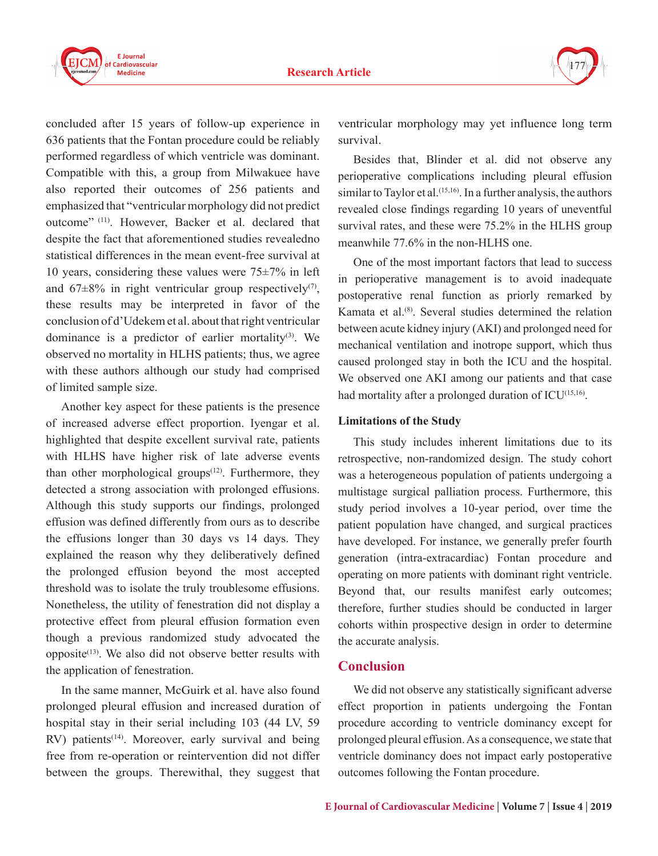

concluded after 15 years of follow-up experience in 636 patients that the Fontan procedure could be reliably performed regardless of which ventricle was dominant. Compatible with this, a group from Milwakuee have also reported their outcomes of 256 patients and emphasized that "ventricular morphology did not predict outcome" (11). However, Backer et al. declared that despite the fact that aforementioned studies revealedno statistical differences in the mean event-free survival at 10 years, considering these values were  $75\pm7\%$  in left and  $67\pm8\%$  in right ventricular group respectively<sup>(7)</sup>, these results may be interpreted in favor of the conclusion of d'Udekem et al. about that right ventricular dominance is a predictor of earlier mortality $(3)$ . We observed no mortality in HLHS patients; thus, we agree with these authors although our study had comprised of limited sample size.

Another key aspect for these patients is the presence of increased adverse effect proportion. Iyengar et al. highlighted that despite excellent survival rate, patients with HLHS have higher risk of late adverse events than other morphological groups<sup> $(12)$ </sup>. Furthermore, they detected a strong association with prolonged effusions. Although this study supports our findings, prolonged effusion was defined differently from ours as to describe the effusions longer than 30 days vs 14 days. They explained the reason why they deliberatively defined the prolonged effusion beyond the most accepted threshold was to isolate the truly troublesome effusions. Nonetheless, the utility of fenestration did not display a protective effect from pleural effusion formation even though a previous randomized study advocated the opposite $(13)$ . We also did not observe better results with the application of fenestration.

In the same manner, McGuirk et al. have also found prolonged pleural effusion and increased duration of hospital stay in their serial including 103 (44 LV, 59  $RV$ ) patients<sup>(14)</sup>. Moreover, early survival and being free from re-operation or reintervention did not differ between the groups. Therewithal, they suggest that

ventricular morphology may yet influence long term survival.

177

Besides that, Blinder et al. did not observe any perioperative complications including pleural effusion similar to Taylor et al.<sup> $(15,16)$ </sup>. In a further analysis, the authors revealed close findings regarding 10 years of uneventful survival rates, and these were 75.2% in the HLHS group meanwhile 77.6% in the non-HLHS one.

One of the most important factors that lead to success in perioperative management is to avoid inadequate postoperative renal function as priorly remarked by Kamata et al.(8). Several studies determined the relation between acute kidney injury (AKI) and prolonged need for mechanical ventilation and inotrope support, which thus caused prolonged stay in both the ICU and the hospital. We observed one AKI among our patients and that case had mortality after a prolonged duration of ICU<sup>(15,16)</sup>.

#### **Limitations of the Study**

This study includes inherent limitations due to its retrospective, non-randomized design. The study cohort was a heterogeneous population of patients undergoing a multistage surgical palliation process. Furthermore, this study period involves a 10-year period, over time the patient population have changed, and surgical practices have developed. For instance, we generally prefer fourth generation (intra-extracardiac) Fontan procedure and operating on more patients with dominant right ventricle. Beyond that, our results manifest early outcomes; therefore, further studies should be conducted in larger cohorts within prospective design in order to determine the accurate analysis.

## **Conclusion**

We did not observe any statistically significant adverse effect proportion in patients undergoing the Fontan procedure according to ventricle dominancy except for prolonged pleural effusion. As a consequence, we state that ventricle dominancy does not impact early postoperative outcomes following the Fontan procedure.